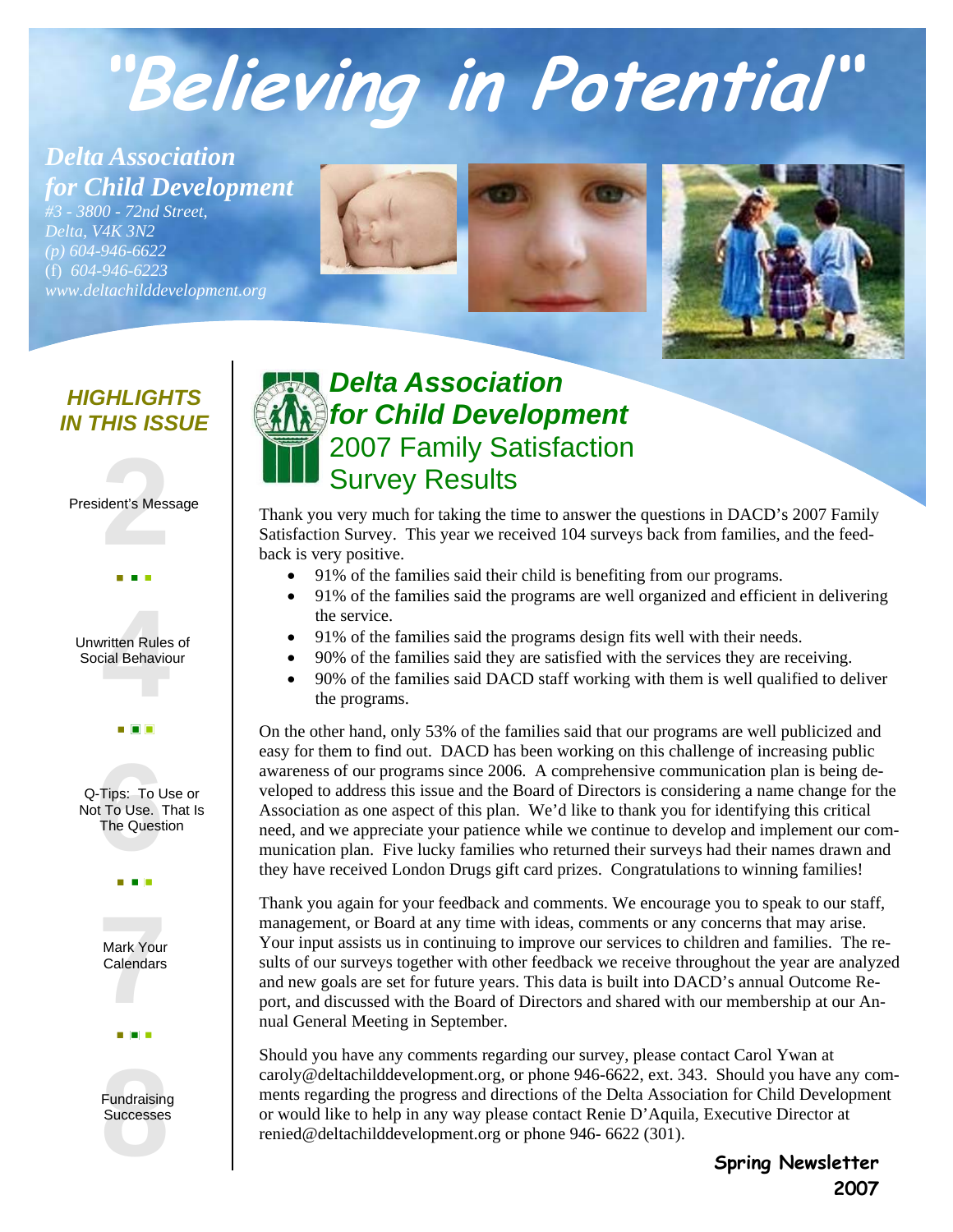# **"Believing in Potential"**

*Delta Association for Child Development* 

*#3 - 3800 - 72nd Street, Delta, V4K 3N2 (p) 604-946-6622*  (f) *604-946-6223 www.deltachilddevelopment.org* 





#### *HIGHLIGHTS IN THIS ISSUE*

#### **2** President's Message





#### **6** Q-Tips: To Use or Not To Use. That Is The Question





*Delta Association for Child Development*  2007 Family Satisfaction Survey Results

Thank you very much for taking the time to answer the questions in DACD's 2007 Family Satisfaction Survey. This year we received 104 surveys back from families, and the feedback is very positive.

- 91% of the families said their child is benefiting from our programs.
- 91% of the families said the programs are well organized and efficient in delivering the service.
- 91% of the families said the programs design fits well with their needs.
- 90% of the families said they are satisfied with the services they are receiving.
- 90% of the families said DACD staff working with them is well qualified to deliver the programs.

On the other hand, only 53% of the families said that our programs are well publicized and easy for them to find out. DACD has been working on this challenge of increasing public awareness of our programs since 2006. A comprehensive communication plan is being developed to address this issue and the Board of Directors is considering a name change for the Association as one aspect of this plan. We'd like to thank you for identifying this critical need, and we appreciate your patience while we continue to develop and implement our communication plan. Five lucky families who returned their surveys had their names drawn and they have received London Drugs gift card prizes. Congratulations to winning families!

Thank you again for your feedback and comments. We encourage you to speak to our staff, management, or Board at any time with ideas, comments or any concerns that may arise. Your input assists us in continuing to improve our services to children and families. The results of our surveys together with other feedback we receive throughout the year are analyzed and new goals are set for future years. This data is built into DACD's annual Outcome Report, and discussed with the Board of Directors and shared with our membership at our Annual General Meeting in September.

Should you have any comments regarding our survey, please contact Carol Ywan at caroly@deltachilddevelopment.org, or phone 946-6622, ext. 343. Should you have any comments regarding the progress and directions of the Delta Association for Child Development or would like to help in any way please contact Renie D'Aquila, Executive Director at renied@deltachilddevelopment.org or phone 946- 6622 (301).

> **Spring Newsletter 2007**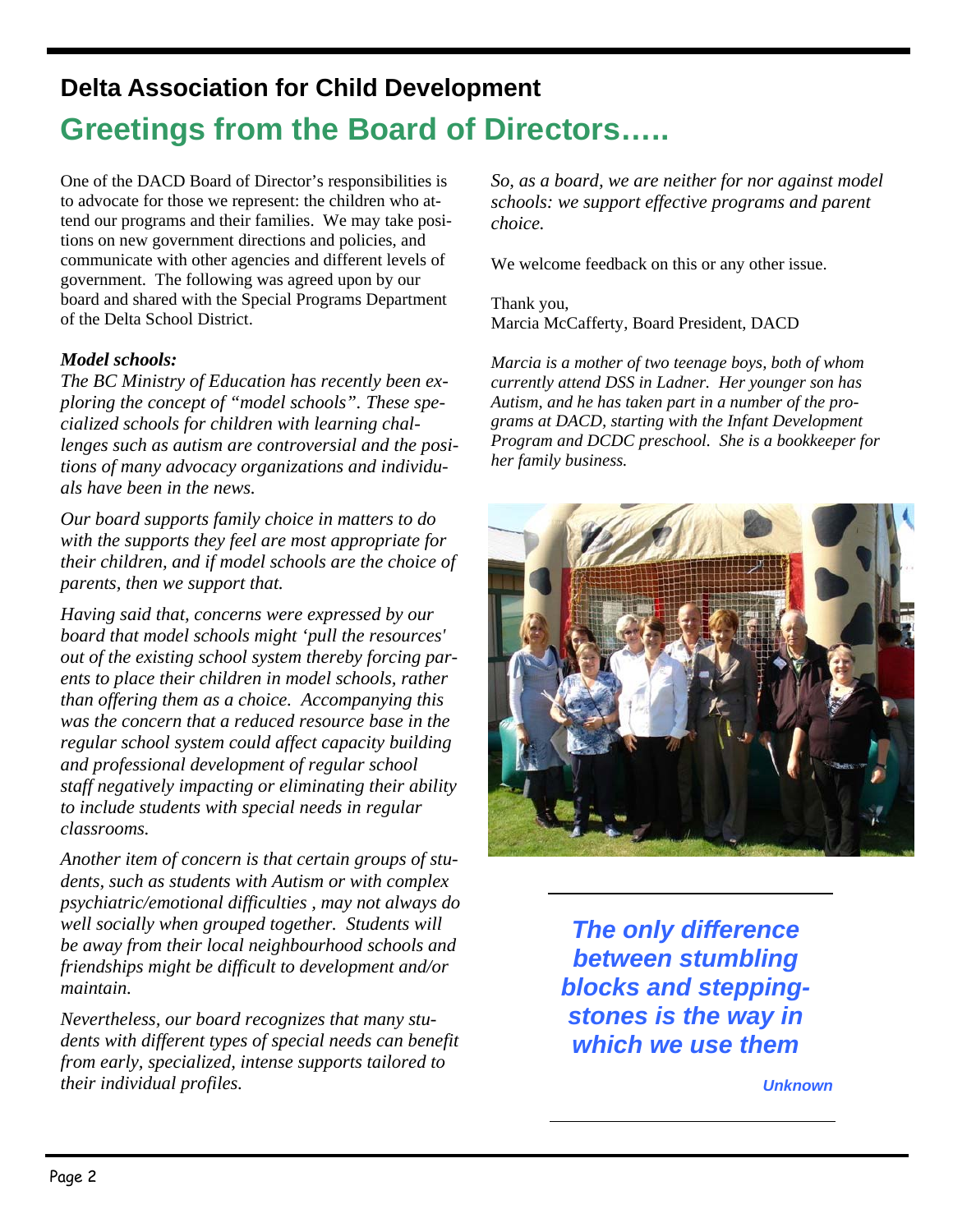# **Delta Association for Child Development Greetings from the Board of Directors…..**

One of the DACD Board of Director's responsibilities is to advocate for those we represent: the children who attend our programs and their families. We may take positions on new government directions and policies, and communicate with other agencies and different levels of government. The following was agreed upon by our board and shared with the Special Programs Department of the Delta School District.

#### *Model schools:*

*The BC Ministry of Education has recently been exploring the concept of "model schools". These specialized schools for children with learning challenges such as autism are controversial and the positions of many advocacy organizations and individuals have been in the news.* 

*Our board supports family choice in matters to do with the supports they feel are most appropriate for their children, and if model schools are the choice of parents, then we support that.* 

*Having said that, concerns were expressed by our board that model schools might 'pull the resources' out of the existing school system thereby forcing parents to place their children in model schools, rather than offering them as a choice. Accompanying this was the concern that a reduced resource base in the regular school system could affect capacity building and professional development of regular school staff negatively impacting or eliminating their ability to include students with special needs in regular classrooms.* 

*Another item of concern is that certain groups of students, such as students with Autism or with complex psychiatric/emotional difficulties , may not always do well socially when grouped together. Students will be away from their local neighbourhood schools and friendships might be difficult to development and/or maintain.* 

*Nevertheless, our board recognizes that many students with different types of special needs can benefit from early, specialized, intense supports tailored to their individual profiles.* 

*So, as a board, we are neither for nor against model schools: we support effective programs and parent choice.* 

We welcome feedback on this or any other issue.

Thank you, Marcia McCafferty, Board President, DACD

*Marcia is a mother of two teenage boys, both of whom currently attend DSS in Ladner. Her younger son has Autism, and he has taken part in a number of the programs at DACD, starting with the Infant Development Program and DCDC preschool. She is a bookkeeper for her family business.* 



*The only difference between stumbling blocks and steppingstones is the way in which we use them* 

*Unknown*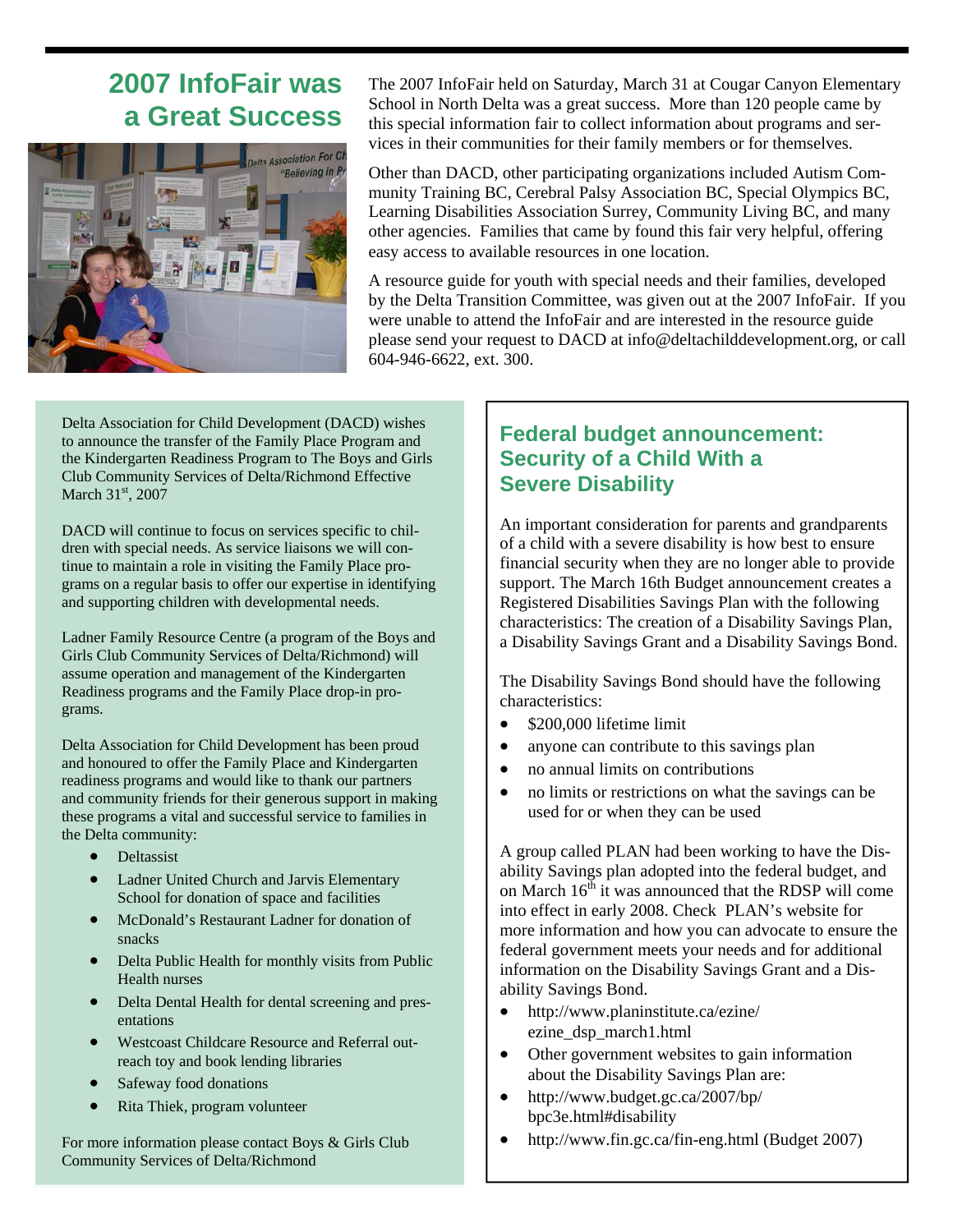## **2007 InfoFair was a Great Success**



The 2007 InfoFair held on Saturday, March 31 at Cougar Canyon Elementary School in North Delta was a great success. More than 120 people came by this special information fair to collect information about programs and services in their communities for their family members or for themselves.

Other than DACD, other participating organizations included Autism Community Training BC, Cerebral Palsy Association BC, Special Olympics BC, Learning Disabilities Association Surrey, Community Living BC, and many other agencies. Families that came by found this fair very helpful, offering easy access to available resources in one location.

A resource guide for youth with special needs and their families, developed by the Delta Transition Committee, was given out at the 2007 InfoFair. If you were unable to attend the InfoFair and are interested in the resource guide please send your request to DACD at info@deltachilddevelopment.org, or call 604-946-6622, ext. 300.

Delta Association for Child Development (DACD) wishes to announce the transfer of the Family Place Program and the Kindergarten Readiness Program to The Boys and Girls Club Community Services of Delta/Richmond Effective March 31<sup>st</sup>, 2007

DACD will continue to focus on services specific to children with special needs. As service liaisons we will continue to maintain a role in visiting the Family Place programs on a regular basis to offer our expertise in identifying and supporting children with developmental needs.

Ladner Family Resource Centre (a program of the Boys and Girls Club Community Services of Delta/Richmond) will assume operation and management of the Kindergarten Readiness programs and the Family Place drop-in programs.

Delta Association for Child Development has been proud and honoured to offer the Family Place and Kindergarten readiness programs and would like to thank our partners and community friends for their generous support in making these programs a vital and successful service to families in the Delta community:

- **Deltassist**
- Ladner United Church and Jarvis Elementary School for donation of space and facilities
- McDonald's Restaurant Ladner for donation of snacks
- Delta Public Health for monthly visits from Public Health nurses
- Delta Dental Health for dental screening and presentations
- Westcoast Childcare Resource and Referral outreach toy and book lending libraries
- Safeway food donations
- Rita Thiek, program volunteer

For more information please contact Boys & Girls Club Community Services of Delta/Richmond

#### **Federal budget announcement: Security of a Child With a Severe Disability**

An important consideration for parents and grandparents of a child with a severe disability is how best to ensure financial security when they are no longer able to provide support. The March 16th Budget announcement creates a Registered Disabilities Savings Plan with the following characteristics: The creation of a Disability Savings Plan, a Disability Savings Grant and a Disability Savings Bond.

The Disability Savings Bond should have the following characteristics:

- \$200,000 lifetime limit
- anyone can contribute to this savings plan
- no annual limits on contributions
- no limits or restrictions on what the savings can be used for or when they can be used

A group called PLAN had been working to have the Disability Savings plan adopted into the federal budget, and on March  $16<sup>th</sup>$  it was announced that the RDSP will come into effect in early 2008. Check PLAN's website for more information and how you can advocate to ensure the federal government meets your needs and for additional information on the Disability Savings Grant and a Disability Savings Bond.

- http://www.planinstitute.ca/ezine/ ezine\_dsp\_march1.html
- Other government websites to gain information about the Disability Savings Plan are:
- http://www.budget.gc.ca/2007/bp/ bpc3e.html#disability
- http://www.fin.gc.ca/fin-eng.html (Budget 2007)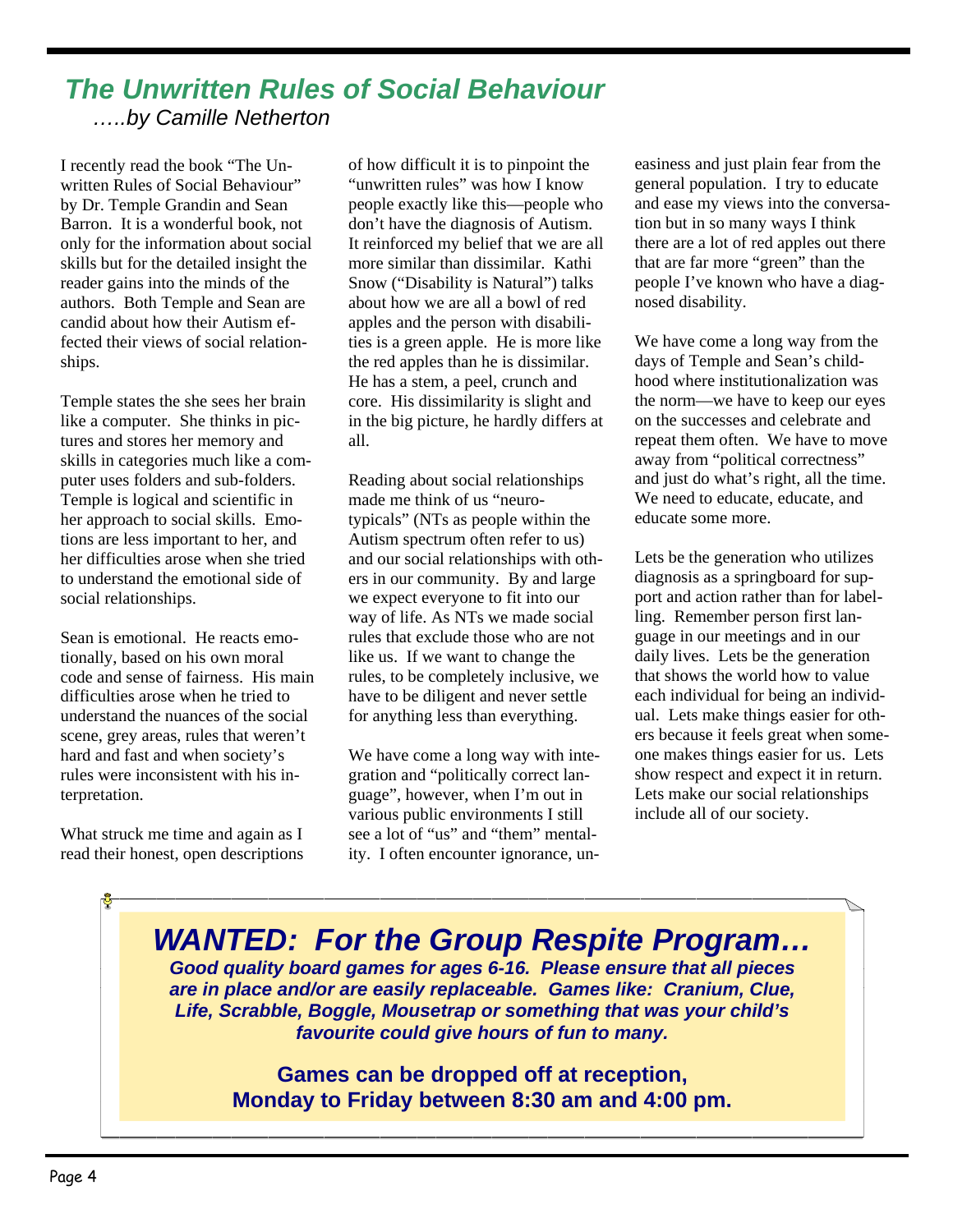#### *The Unwritten Rules of Social Behaviour …..by Camille Netherton*

I recently read the book "The Unwritten Rules of Social Behaviour" by Dr. Temple Grandin and Sean Barron. It is a wonderful book, not only for the information about social skills but for the detailed insight the reader gains into the minds of the authors. Both Temple and Sean are candid about how their Autism effected their views of social relationships.

Temple states the she sees her brain like a computer. She thinks in pictures and stores her memory and skills in categories much like a computer uses folders and sub-folders. Temple is logical and scientific in her approach to social skills. Emotions are less important to her, and her difficulties arose when she tried to understand the emotional side of social relationships.

Sean is emotional. He reacts emotionally, based on his own moral code and sense of fairness. His main difficulties arose when he tried to understand the nuances of the social scene, grey areas, rules that weren't hard and fast and when society's rules were inconsistent with his interpretation.

What struck me time and again as I read their honest, open descriptions

of how difficult it is to pinpoint the "unwritten rules" was how I know people exactly like this—people who don't have the diagnosis of Autism. It reinforced my belief that we are all more similar than dissimilar. Kathi Snow ("Disability is Natural") talks about how we are all a bowl of red apples and the person with disabilities is a green apple. He is more like the red apples than he is dissimilar. He has a stem, a peel, crunch and core. His dissimilarity is slight and in the big picture, he hardly differs at all.

Reading about social relationships made me think of us "neurotypicals" (NTs as people within the Autism spectrum often refer to us) and our social relationships with others in our community. By and large we expect everyone to fit into our way of life. As NTs we made social rules that exclude those who are not like us. If we want to change the rules, to be completely inclusive, we have to be diligent and never settle for anything less than everything.

We have come a long way with integration and "politically correct language", however, when I'm out in various public environments I still see a lot of "us" and "them" mentality. I often encounter ignorance, un-

easiness and just plain fear from the general population. I try to educate and ease my views into the conversation but in so many ways I think there are a lot of red apples out there that are far more "green" than the people I've known who have a diagnosed disability.

We have come a long way from the days of Temple and Sean's childhood where institutionalization was the norm—we have to keep our eyes on the successes and celebrate and repeat them often. We have to move away from "political correctness" and just do what's right, all the time. We need to educate, educate, and educate some more.

Lets be the generation who utilizes diagnosis as a springboard for support and action rather than for labelling. Remember person first language in our meetings and in our daily lives. Lets be the generation that shows the world how to value each individual for being an individual. Lets make things easier for others because it feels great when someone makes things easier for us. Lets show respect and expect it in return. Lets make our social relationships include all of our society.

*WANTED: For the Group Respite Program… Good quality board games for ages 6-16. Please ensure that all pieces are in place and/or are easily replaceable. Games like: Cranium, Clue, Life, Scrabble, Boggle, Mousetrap or something that was your child's favourite could give hours of fun to many.* 

> **Games can be dropped off at reception, Monday to Friday between 8:30 am and 4:00 pm.**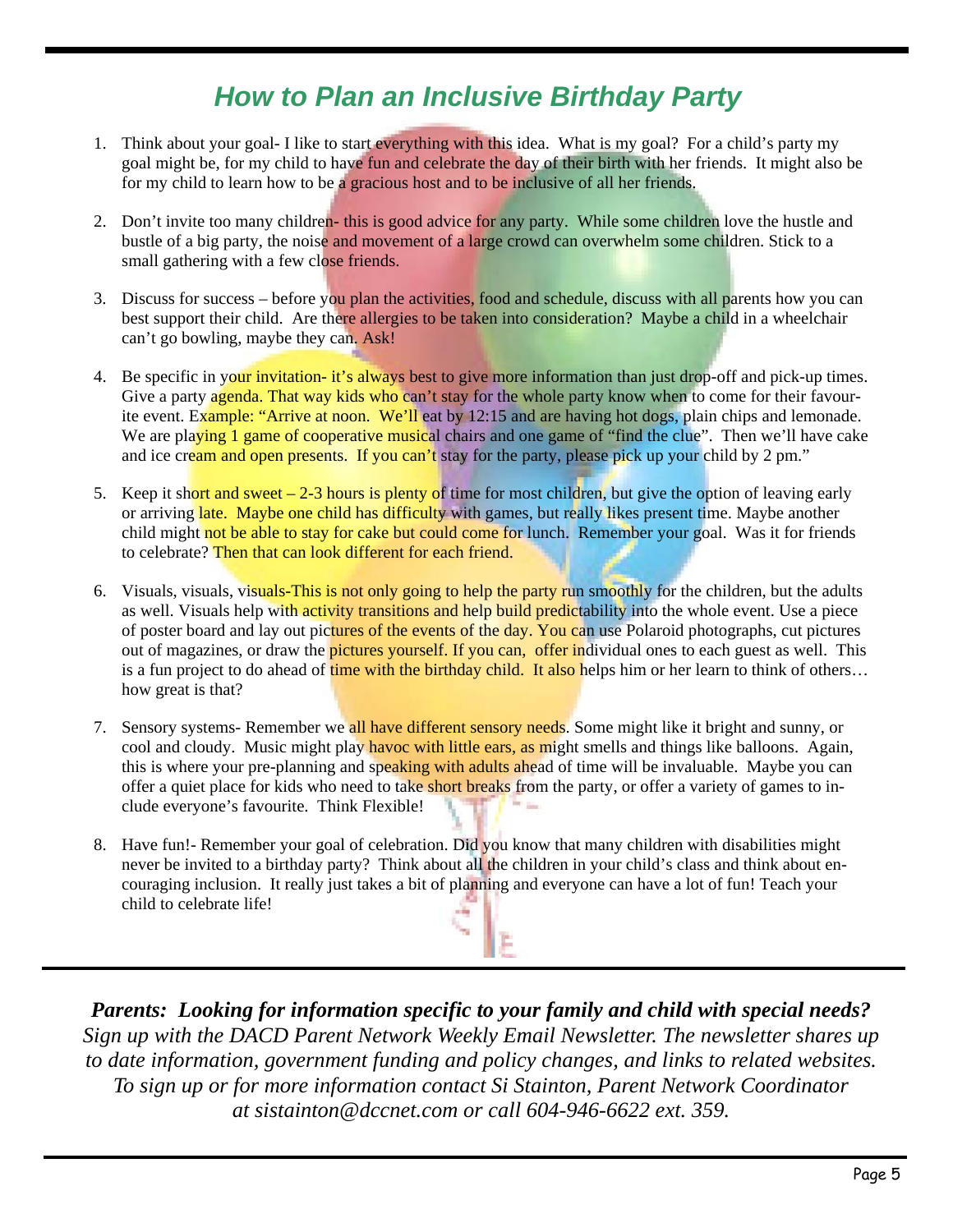# *How to Plan an Inclusive Birthday Party*

- 1. Think about your goal- I like to start everything with this idea. What is my goal? For a child's party my goal might be, for my child to have fun and celebrate the day of their birth with her friends. It might also be for my child to learn how to be a gracious host and to be inclusive of all her friends.
- 2. Don't invite too many children- this is good advice for any party. While some children love the hustle and bustle of a big party, the noise and movement of a large crowd can overwhelm some children. Stick to a small gathering with a few close friends.
- 3. Discuss for success before you plan the activities, food and schedule, discuss with all parents how you can best support their child. Are there allergies to be taken into consideration? Maybe a child in a wheelchair can't go bowling, maybe they can. Ask!
- 4. Be specific in your invitation- it's always best to give more information than just drop-off and pick-up times. Give a party agenda. That way kids who can't stay for the whole party know when to come for their favourite event. Example: "Arrive at noon. We'll eat by 12:15 and are having hot dogs, plain chips and lemonade. We are playing 1 game of cooperative musical chairs and one game of "find the clue". Then we'll have cake and ice cream and open presents. If you can't stay for the party, please pick up your child by 2 pm."
- 5. Keep it short and sweet  $-2-3$  hours is plenty of time for most children, but give the option of leaving early or arriving late. Maybe one child has difficulty with games, but really likes present time. Maybe another child might not be able to stay for cake but could come for lunch. Remember your goal. Was it for friends to celebrate? Then that can look different for each friend.
- 6. Visuals, visuals, visuals-This is not only going to help the party run smoothly for the children, but the adults as well. Visuals help with activity transitions and help build predictability into the whole event. Use a piece of poster board and lay out pictures of the events of the day. You can use Polaroid photographs, cut pictures out of magazines, or draw the **pictures yourself.** If you can, offer individual ones to each guest as well. This is a fun project to do ahead of time with the birthday child. It also helps him or her learn to think of others... how great is that?
- 7. Sensory systems- Remember we all have different sensory needs. Some might like it bright and sunny, or cool and cloudy. Music might play havoc with little ears, as might smells and things like balloons. Again, this is where your pre-planning and speaking with adults ahead of time will be invaluable. Maybe you can offer a quiet place for kids who need to take short breaks from the party, or offer a variety of games to include everyone's favourite. Think Flexible!
- 8. Have fun!- Remember your goal of celebration. Did you know that many children with disabilities might never be invited to a birthday party? Think about all the children in your child's class and think about encouraging inclusion. It really just takes a bit of planning and everyone can have a lot of fun! Teach your child to celebrate life!

*Parents: Looking for information specific to your family and child with special needs? Sign up with the DACD Parent Network Weekly Email Newsletter. The newsletter shares up to date information, government funding and policy changes, and links to related websites. To sign up or for more information contact Si Stainton, Parent Network Coordinator at sistainton@dccnet.com or call 604-946-6622 ext. 359.*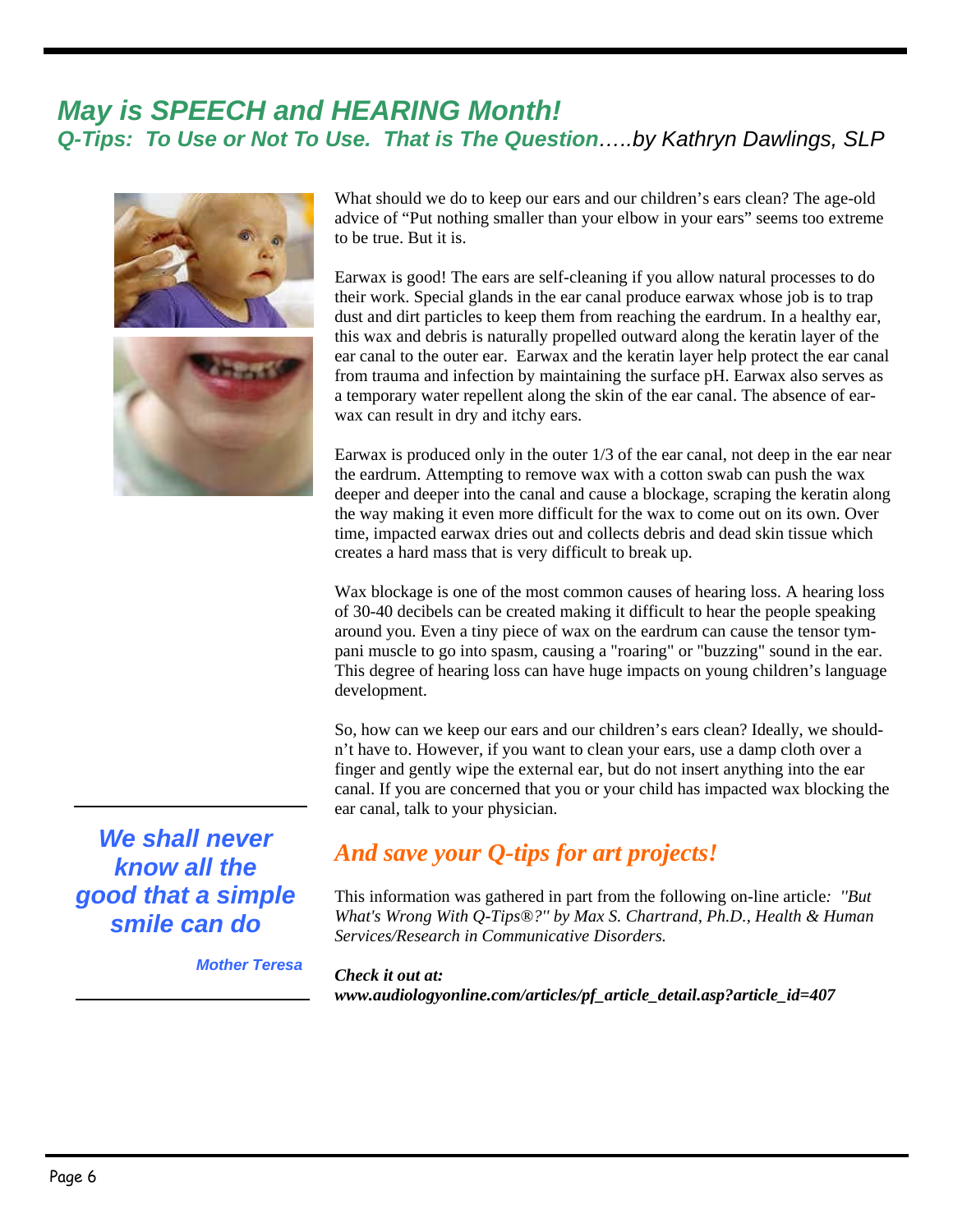#### *May is SPEECH and HEARING Month! Q-Tips: To Use or Not To Use. That is The Question…..by Kathryn Dawlings, SLP*



What should we do to keep our ears and our children's ears clean? The age-old advice of "Put nothing smaller than your elbow in your ears" seems too extreme to be true. But it is.

Earwax is good! The ears are self-cleaning if you allow natural processes to do their work. Special glands in the ear canal produce earwax whose job is to trap dust and dirt particles to keep them from reaching the eardrum. In a healthy ear, this wax and debris is naturally propelled outward along the keratin layer of the ear canal to the outer ear. Earwax and the keratin layer help protect the ear canal from trauma and infection by maintaining the surface pH. Earwax also serves as a temporary water repellent along the skin of the ear canal. The absence of earwax can result in dry and itchy ears.

Earwax is produced only in the outer 1/3 of the ear canal, not deep in the ear near the eardrum. Attempting to remove wax with a cotton swab can push the wax deeper and deeper into the canal and cause a blockage, scraping the keratin along the way making it even more difficult for the wax to come out on its own. Over time, impacted earwax dries out and collects debris and dead skin tissue which creates a hard mass that is very difficult to break up.

Wax blockage is one of the most common causes of hearing loss. A hearing loss of 30-40 decibels can be created making it difficult to hear the people speaking around you. Even a tiny piece of wax on the eardrum can cause the tensor tympani muscle to go into spasm, causing a "roaring" or "buzzing" sound in the ear. This degree of hearing loss can have huge impacts on young children's language development.

So, how can we keep our ears and our children's ears clean? Ideally, we shouldn't have to. However, if you want to clean your ears, use a damp cloth over a finger and gently wipe the external ear, but do not insert anything into the ear canal. If you are concerned that you or your child has impacted wax blocking the ear canal, talk to your physician.

#### *And save your Q-tips for art projects!*

This information was gathered in part from the following on-line article*: ''But What's Wrong With Q-Tips®?'' by Max S. Chartrand, Ph.D., Health & Human Services/Research in Communicative Disorders.*

*Mother Teresa*

*Check it out at: www.audiologyonline.com/articles/pf\_article\_detail.asp?article\_id=407* 

*We shall never know all the good that a simple smile can do*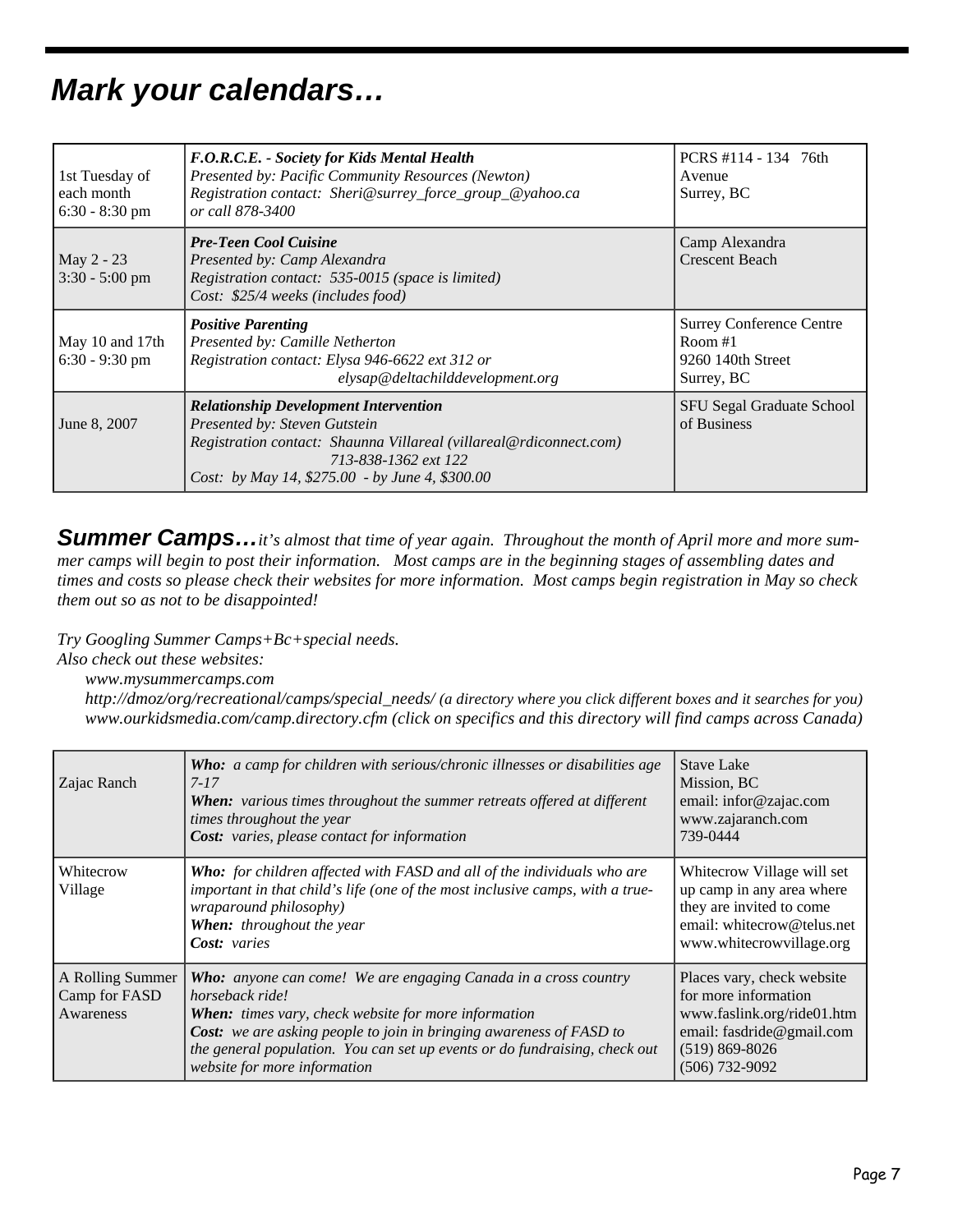# *Mark your calendars…*

| 1st Tuesday of<br>each month<br>$6:30 - 8:30$ pm | F.O.R.C.E. - Society for Kids Mental Health<br>Presented by: Pacific Community Resources (Newton)<br>Registration contact: Sheri@surrey_force_group_@yahoo.ca<br>or call 878-3400                                              | PCRS #114 - 134 76th<br>Avenue<br>Surrey, BC                                    |
|--------------------------------------------------|--------------------------------------------------------------------------------------------------------------------------------------------------------------------------------------------------------------------------------|---------------------------------------------------------------------------------|
| May 2 - 23<br>$3:30 - 5:00$ pm                   | <b>Pre-Teen Cool Cuisine</b><br>Presented by: Camp Alexandra<br>Registration contact: 535-0015 (space is limited)<br>Cost: \$25/4 weeks (includes food)                                                                        | Camp Alexandra<br><b>Crescent Beach</b>                                         |
| May 10 and 17th<br>$6:30 - 9:30$ pm              | <b>Positive Parenting</b><br>Presented by: Camille Netherton<br>Registration contact: Elysa 946-6622 ext 312 or<br>elysap@deltachilddevelopment.org                                                                            | <b>Surrey Conference Centre</b><br>Room $#1$<br>9260 140th Street<br>Surrey, BC |
| June 8, 2007                                     | <b>Relationship Development Intervention</b><br>Presented by: Steven Gutstein<br>Registration contact: Shaunna Villareal (villareal@rdiconnect.com)<br>713-838-1362 ext 122<br>Cost: by May 14, \$275.00 - by June 4, \$300.00 | SFU Segal Graduate School<br>of Business                                        |

*Summer Camps…it's almost that time of year again. Throughout the month of April more and more summer camps will begin to post their information. Most camps are in the beginning stages of assembling dates and times and costs so please check their websites for more information. Most camps begin registration in May so check them out so as not to be disappointed!* 

*Try Googling Summer Camps+Bc+special needs.* 

*Also check out these websites:* 

 *www.mysummercamps.com* 

 *http://dmoz/org/recreational/camps/special\_needs/ (a directory where you click different boxes and it searches for you) www.ourkidsmedia.com/camp.directory.cfm (click on specifics and this directory will find camps across Canada)* 

| Zajac Ranch                                    | <b>Who:</b> a camp for children with serious/chronic illnesses or disabilities age<br>$7 - 17$<br><b>When:</b> various times throughout the summer retreats offered at different<br>times throughout the year<br><b>Cost:</b> varies, please contact for information                                                                          | <b>Stave Lake</b><br>Mission, BC<br>email: infor@zajac.com<br>www.zajaranch.com<br>739-0444                                                             |
|------------------------------------------------|-----------------------------------------------------------------------------------------------------------------------------------------------------------------------------------------------------------------------------------------------------------------------------------------------------------------------------------------------|---------------------------------------------------------------------------------------------------------------------------------------------------------|
| Whitecrow<br>Village                           | <b>Who:</b> for children affected with FASD and all of the individuals who are<br>important in that child's life (one of the most inclusive camps, with a true-<br>wraparound philosophy)<br>When: throughout the year<br>Cost: varies                                                                                                        | Whitecrow Village will set<br>up camp in any area where<br>they are invited to come<br>email: whitecrow@telus.net<br>www.whitecrowvillage.org           |
| A Rolling Summer<br>Camp for FASD<br>Awareness | <b>Who:</b> anyone can come! We are engaging Canada in a cross country<br>horseback ride!<br><b>When:</b> times vary, check website for more information<br>Cost: we are asking people to join in bringing awareness of FASD to<br>the general population. You can set up events or do fundraising, check out<br>website for more information | Places vary, check website<br>for more information<br>www.faslink.org/ride01.htm<br>email: fasdride@gmail.com<br>$(519) 869 - 8026$<br>$(506)$ 732-9092 |